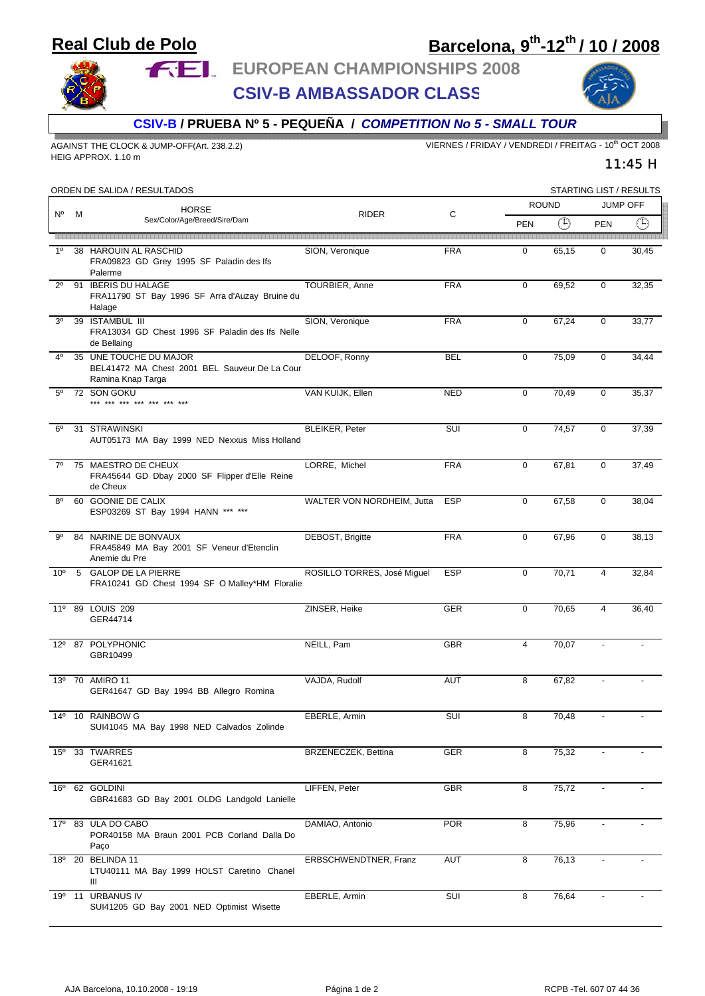## **Real Club de Polo**

## **Barcelona, 9th-12th / 10 / 2008**



**FEL** EUROPEAN CHAMPIONSHIPS 2008

**CSIV-B AMBASSADOR CLASS**



11:45 H

**CSIV-B / PRUEBA Nº 5 - PEQUEÑA /** *COMPETITION No 5 - SMALL TOUR*

HEIG APPROX. 1.10 m

AGAINST THE CLOCK & JUMP-OFF(Art. 238.2.2) VIERNES / FRIDAY / VENDREDI / FREITAG - 10<sup>th</sup> OCT 2008

| ORDEN DE SALIDA / RESULTADOS |   |                                                                                              |                             |            |                | STARTING LIST / RESULTS                                 |                          |             |  |
|------------------------------|---|----------------------------------------------------------------------------------------------|-----------------------------|------------|----------------|---------------------------------------------------------|--------------------------|-------------|--|
| N٥                           | м | <b>HORSE</b><br>Sex/Color/Age/Breed/Sire/Dam                                                 | <b>RIDER</b>                | C          | <b>ROUND</b>   |                                                         | <b>JUMP OFF</b>          |             |  |
|                              |   |                                                                                              |                             |            | <b>PEN</b>     | $\left( \begin{smallmatrix} 1\end{smallmatrix} \right)$ | <b>PEN</b>               | $\bigoplus$ |  |
| 1 <sup>0</sup>               |   | 38 HAROUIN AL RASCHID<br>FRA09823 GD Grey 1995 SF Paladin des Ifs<br>Palerme                 | SION, Veronique             | <b>FRA</b> | $\mathbf 0$    | 65,15                                                   | $\mathbf 0$              | 30,45       |  |
| $2^{\circ}$                  |   | 91 IBERIS DU HALAGE<br>FRA11790 ST Bay 1996 SF Arra d'Auzay Bruine du<br>Halage              | TOURBIER, Anne              | <b>FRA</b> | $\mathbf 0$    | 69,52                                                   | $\mathbf 0$              | 32,35       |  |
| 3 <sup>0</sup>               |   | 39 ISTAMBUL III<br>FRA13034 GD Chest 1996 SF Paladin des Ifs Nelle<br>de Bellaing            | SION, Veronique             | <b>FRA</b> | $\mathbf 0$    | 67,24                                                   | $\mathbf 0$              | 33,77       |  |
| 4 <sup>0</sup>               |   | 35 UNE TOUCHE DU MAJOR<br>BEL41472 MA Chest 2001 BEL Sauveur De La Cour<br>Ramina Knap Targa | DELOOF, Ronny               | <b>BEL</b> | $\mathbf 0$    | 75,09                                                   | $\mathbf 0$              | 34,44       |  |
| $5^{\circ}$                  |   | 72 SON GOKU<br>*** *** *** *** *** ***                                                       | VAN KUIJK, Ellen            | <b>NED</b> | $\mathbf 0$    | 70,49                                                   | $\mathbf 0$              | 35,37       |  |
| $6^{\circ}$                  |   | 31 STRAWINSKI<br>AUT05173 MA Bay 1999 NED Nexxus Miss Holland                                | BLEIKER, Peter              | SUI        | $\mathbf 0$    | 74,57                                                   | $\mathbf 0$              | 37,39       |  |
| $7^\circ$                    |   | 75 MAESTRO DE CHEUX<br>FRA45644 GD Dbay 2000 SF Flipper d'Elle Reine<br>de Cheux             | LORRE, Michel               | <b>FRA</b> | $\mathbf 0$    | 67,81                                                   | $\mathbf 0$              | 37,49       |  |
| $8^{\circ}$                  |   | 60 GOONIE DE CALIX<br>ESP03269 ST Bay 1994 HANN *** ***                                      | WALTER VON NORDHEIM, Jutta  | <b>ESP</b> | $\mathbf 0$    | 67,58                                                   | $\mathbf 0$              | 38,04       |  |
| 9°                           |   | 84 NARINE DE BONVAUX<br>FRA45849 MA Bay 2001 SF Veneur d'Etenclin<br>Anemie du Pre           | DEBOST, Brigitte            | <b>FRA</b> | 0              | 67,96                                                   | $\mathbf 0$              | 38,13       |  |
| 10 <sup>o</sup>              |   | 5 GALOP DE LA PIERRE<br>FRA10241 GD Chest 1994 SF O Malley*HM Floralie                       | ROSILLO TORRES, José Miguel | <b>ESP</b> | $\mathbf 0$    | 70,71                                                   | $\overline{4}$           | 32,84       |  |
| $11^{\circ}$                 |   | 89 LOUIS 209<br>GER44714                                                                     | ZINSER, Heike               | GER        | $\mathbf 0$    | 70,65                                                   | $\overline{4}$           | 36,40       |  |
|                              |   | 12º 87 POLYPHONIC<br>GBR10499                                                                | NEILL, Pam                  | <b>GBR</b> | $\overline{4}$ | 70,07                                                   |                          |             |  |
|                              |   | 13º 70 AMIRO 11<br>GER41647 GD Bay 1994 BB Allegro Romina                                    | VAJDA, Rudolf               | AUT        | 8              | 67,82                                                   |                          |             |  |
|                              |   | 14º 10 RAINBOW G<br>SUI41045 MA Bay 1998 NED Calvados Zolinde                                | EBERLE, Armin               | SUI        | 8              | 70,48                                                   |                          |             |  |
| $15^{\circ}$                 |   | 33 TWARRES<br>GER41621                                                                       | BRZENECZEK, Bettina         | GER        | 8              | 75,32                                                   |                          |             |  |
|                              |   | 16º 62 GOLDINI<br>GBR41683 GD Bay 2001 OLDG Landgold Lanielle                                | LIFFEN, Peter               | GBR        | 8              | 75,72                                                   | $\blacksquare$           |             |  |
|                              |   | 17º 83 ULA DO CABO<br>POR40158 MA Braun 2001 PCB Corland Dalla Do<br>Paço                    | DAMIAO, Antonio             | <b>POR</b> | 8              | 75,96                                                   |                          |             |  |
|                              |   | 18º 20 BELINDA 11<br>LTU40111 MA Bay 1999 HOLST Caretino Chanel<br>Ш                         | ERBSCHWENDTNER, Franz       | AUT        | 8              | 76,13                                                   | $\overline{\phantom{a}}$ |             |  |
|                              |   | 19º 11 URBANUS IV<br>SUI41205 GD Bay 2001 NED Optimist Wisette                               | EBERLE, Armin               | SUI        | 8              | 76,64                                                   | $\overline{\phantom{a}}$ |             |  |